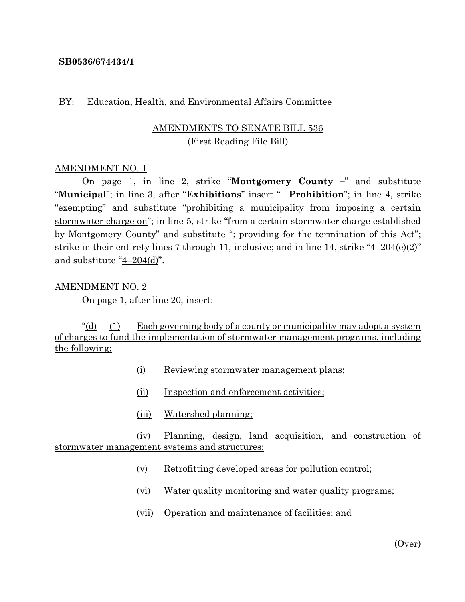#### **SB0536/674434/1**

#### BY: Education, Health, and Environmental Affairs Committee

## AMENDMENTS TO SENATE BILL 536 (First Reading File Bill)

#### AMENDMENT NO. 1

On page 1, in line 2, strike "**Montgomery County –**" and substitute "**Municipal**"; in line 3, after "**Exhibitions**" insert "**– Prohibition**"; in line 4, strike "exempting" and substitute "prohibiting a municipality from imposing a certain stormwater charge on"; in line 5, strike "from a certain stormwater charge established by Montgomery County" and substitute "; providing for the termination of this Act"; strike in their entirety lines 7 through 11, inclusive; and in line 14, strike "4–204(e)(2)" and substitute "4–204(d)".

#### AMENDMENT NO. 2

On page 1, after line 20, insert:

"(d) (1) Each governing body of a county or municipality may adopt a system of charges to fund the implementation of stormwater management programs, including the following:

- (i) Reviewing stormwater management plans;
- (ii) Inspection and enforcement activities;
- (iii) Watershed planning;

(iv) Planning, design, land acquisition, and construction of stormwater management systems and structures;

- (v) Retrofitting developed areas for pollution control;
- (vi) Water quality monitoring and water quality programs;
- (vii) Operation and maintenance of facilities; and

(Over)